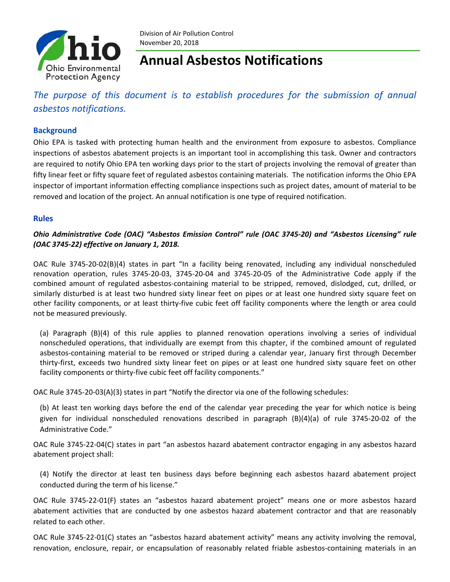

Division of Air Pollution Control November 20, 2018

# **Annual Asbestos Notifications**

## *The purpose of this document is to establish procedures for the submission of annual asbestos notifications.*

#### **Background**

Ohio EPA is tasked with protecting human health and the environment from exposure to asbestos. Compliance inspections of asbestos abatement projects is an important tool in accomplishing this task. Owner and contractors are required to notify Ohio EPA ten working days prior to the start of projects involving the removal of greater than fifty linear feet or fifty square feet of regulated asbestos containing materials. The notification informs the Ohio EPA inspector of important information effecting compliance inspections such as project dates, amount of material to be removed and location of the project. An annual notification is one type of required notification.

#### **Rules**

#### *Ohio Administrative Code (OAC) "Asbestos Emission Control" rule (OAC 3745‐20) and "Asbestos Licensing" rule (OAC 3745‐22) effective on January 1, 2018.*

OAC Rule 3745-20-02(B)(4) states in part "In a facility being renovated, including any individual nonscheduled renovation operation, rules 3745‐20‐03, 3745‐20‐04 and 3745‐20‐05 of the Administrative Code apply if the combined amount of regulated asbestos-containing material to be stripped, removed, dislodged, cut, drilled, or similarly disturbed is at least two hundred sixty linear feet on pipes or at least one hundred sixty square feet on other facility components, or at least thirty-five cubic feet off facility components where the length or area could not be measured previously.

(a) Paragraph (B)(4) of this rule applies to planned renovation operations involving a series of individual nonscheduled operations, that individually are exempt from this chapter, if the combined amount of regulated asbestos‐containing material to be removed or striped during a calendar year, January first through December thirty‐first, exceeds two hundred sixty linear feet on pipes or at least one hundred sixty square feet on other facility components or thirty-five cubic feet off facility components."

OAC Rule 3745-20-03(A)(3) states in part "Notify the director via one of the following schedules:

(b) At least ten working days before the end of the calendar year preceding the year for which notice is being given for individual nonscheduled renovations described in paragraph  $(B)(4)(a)$  of rule 3745-20-02 of the Administrative Code."

OAC Rule 3745‐22‐04(C) states in part "an asbestos hazard abatement contractor engaging in any asbestos hazard abatement project shall:

(4) Notify the director at least ten business days before beginning each asbestos hazard abatement project conducted during the term of his license."

OAC Rule 3745‐22‐01(F) states an "asbestos hazard abatement project" means one or more asbestos hazard abatement activities that are conducted by one asbestos hazard abatement contractor and that are reasonably related to each other.

OAC Rule 3745-22-01(C) states an "asbestos hazard abatement activity" means any activity involving the removal, renovation, enclosure, repair, or encapsulation of reasonably related friable asbestos-containing materials in an